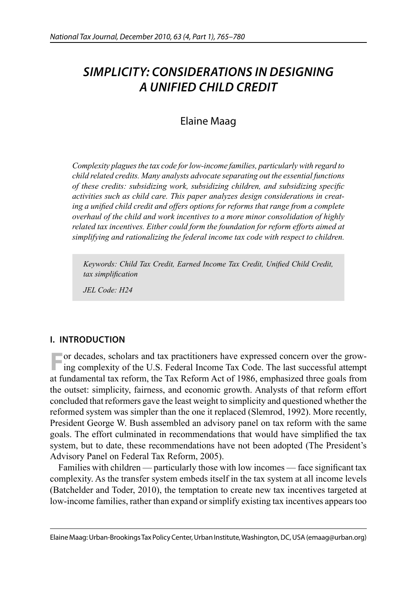# *SIMPLICITY: CONSIDERATIONS IN DESIGNING A UNIFIED CHILD CREDIT*

## Elaine Maag

*Complexity plagues the tax code for low-income families, particularly with regard to child related credits. Many analysts advocate separating out the essential functions of these credits: subsidizing work, subsidizing children, and subsidizing specific activities such as child care. This paper analyzes design considerations in creat*ing a unified child credit and offers options for reforms that range from a complete *overhaul of the child and work incentives to a more minor consolidation of highly related tax incentives. Either could form the foundation for reform efforts aimed at simplifying and rationalizing the federal income tax code with respect to children.* 

Keywords: Child Tax Credit, Earned Income Tax Credit, Unified Child Credit,  $tax$  simplification

*JEL Code: H24* 

## **I. INTRODUCTION**

**F**or decades, scholars and tax practitioners have expressed concern over the growing complexity of the U.S. Federal Income Tax Code. The last successful attempt at fundamental tax reform, the Tax Reform Act of 1986, emphasized three goals from the outset: simplicity, fairness, and economic growth. Analysts of that reform effort concluded that reformers gave the least weight to simplicity and questioned whether the reformed system was simpler than the one it replaced (Slemrod, 1992). More recently, President George W. Bush assembled an advisory panel on tax reform with the same goals. The effort culminated in recommendations that would have simplified the tax system, but to date, these recommendations have not been adopted (The President's Advisory Panel on Federal Tax Reform, 2005).

Families with children — particularly those with low incomes — face significant tax complexity. As the transfer system embeds itself in the tax system at all income levels (Batchelder and Toder, 2010), the temptation to create new tax incentives targeted at low-income families, rather than expand or simplify existing tax incentives appears too

Elaine Maag: Urban-Brookings Tax Policy Center, Urban Institute, Washington, DC, USA (emaag@urban.org)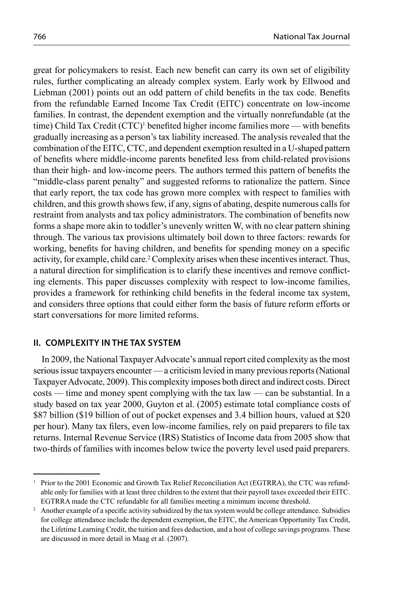great for policymakers to resist. Each new benefit can carry its own set of eligibility rules, further complicating an already complex system. Early work by Ellwood and Liebman  $(2001)$  points out an odd pattern of child benefits in the tax code. Benefits from the refundable Earned Income Tax Credit (EITC) concentrate on low-income families. In contrast, the dependent exemption and the virtually nonrefundable (at the time) Child Tax Credit (CTC)<sup>1</sup> benefited higher income families more — with benefits gradually increasing as a person's tax liability increased. The analysis revealed that the combination of the EITC, CTC, and dependent exemption resulted in a U-shaped pattern of benefits where middle-income parents benefited less from child-related provisions than their high- and low-income peers. The authors termed this pattern of benefits the "middle-class parent penalty" and suggested reforms to rationalize the pattern. Since that early report, the tax code has grown more complex with respect to families with children, and this growth shows few, if any, signs of abating, despite numerous calls for restraint from analysts and tax policy administrators. The combination of benefits now forms a shape more akin to toddler's unevenly written W, with no clear pattern shining through. The various tax provisions ultimately boil down to three factors: rewards for working, benefits for having children, and benefits for spending money on a specific activity, for example, child care.<sup>2</sup> Complexity arises when these incentives interact. Thus, a natural direction for simplification is to clarify these incentives and remove conflicting elements. This paper discusses complexity with respect to low-income families, provides a framework for rethinking child benefits in the federal income tax system, and considers three options that could either form the basis of future reform efforts or start conversations for more limited reforms.

#### **II. COMPLEXITY IN THE TAX SYSTEM**

In 2009, the National Taxpayer Advocate's annual report cited complexity as the most serious issue taxpayers encounter — a criticism levied in many previous reports (National Taxpayer Advocate, 2009). This complexity imposes both direct and indirect costs. Direct costs — time and money spent complying with the tax law — can be substantial. In a study based on tax year 2000, Guyton et al. (2005) estimate total compliance costs of \$87 billion (\$19 billion of out of pocket expenses and 3.4 billion hours, valued at \$20 per hour). Many tax filers, even low-income families, rely on paid preparers to file tax returns. Internal Revenue Service (IRS) Statistics of Income data from 2005 show that two-thirds of families with incomes below twice the poverty level used paid preparers.

<sup>1</sup> Prior to the 2001 Economic and Growth Tax Relief Reconciliation Act (EGTRRA), the CTC was refundable only for families with at least three children to the extent that their payroll taxes exceeded their EITC. EGTRRA made the CTC refundable for all families meeting a minimum income threshold.

Another example of a specific activity subsidized by the tax system would be college attendance. Subsidies for college attendance include the dependent exemption, the EITC, the American Opportunity Tax Credit, the Lifetime Learning Credit, the tuition and fees deduction, and a host of college savings programs. These are discussed in more detail in Maag et al. (2007).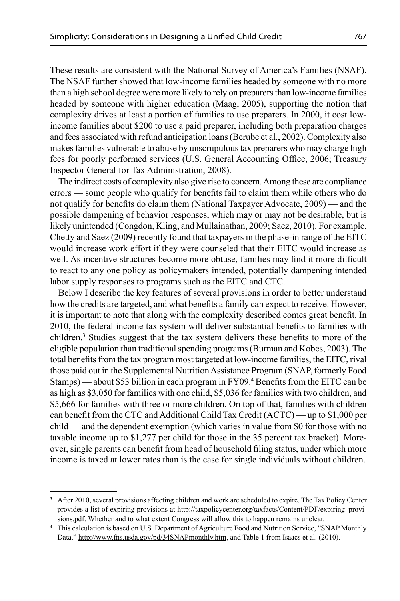These results are consistent with the National Survey of America's Families (NSAF). The NSAF further showed that low-income families headed by someone with no more than a high school degree were more likely to rely on preparers than low-income families headed by someone with higher education (Maag, 2005), supporting the notion that complexity drives at least a portion of families to use preparers. In 2000, it cost lowincome families about \$200 to use a paid preparer, including both preparation charges and fees associated with refund anticipation loans (Berube et al., 2002). Complexity also makes families vulnerable to abuse by unscrupulous tax preparers who may charge high fees for poorly performed services (U.S. General Accounting Office, 2006; Treasury Inspector General for Tax Administration, 2008).

The indirect costs of complexity also give rise to concern. Among these are compliance errors — some people who qualify for benefits fail to claim them while others who do not qualify for benefits do claim them (National Taxpayer Advocate, 2009) — and the possible dampening of behavior responses, which may or may not be desirable, but is likely unintended (Congdon, Kling, and Mullainathan, 2009; Saez, 2010). For example, Chetty and Saez (2009) recently found that taxpayers in the phase-in range of the EITC would increase work effort if they were counseled that their EITC would increase as well. As incentive structures become more obtuse, families may find it more difficult to react to any one policy as policymakers intended, potentially dampening intended labor supply responses to programs such as the EITC and CTC.

Below I describe the key features of several provisions in order to better understand how the credits are targeted, and what benefits a family can expect to receive. However, it is important to note that along with the complexity described comes great benefit. In 2010, the federal income tax system will deliver substantial benefits to families with children.<sup>3</sup> Studies suggest that the tax system delivers these benefits to more of the eligible population than traditional spending programs (Burman and Kobes, 2003). The total benefits from the tax program most targeted at low-income families, the EITC, rival those paid out in the Supplemental Nutrition Assistance Program (SNAP, formerly Food Stamps) — about \$53 billion in each program in FY09.<sup>4</sup> Benefits from the EITC can be as high as \$3,050 for families with one child, \$5,036 for families with two children, and \$5,666 for families with three or more children. On top of that, families with children can benefit from the CTC and Additional Child Tax Credit  $(ACTC)$  — up to \$1,000 per child — and the dependent exemption (which varies in value from \$0 for those with no taxable income up to \$1,277 per child for those in the 35 percent tax bracket). Moreover, single parents can benefit from head of household filing status, under which more income is taxed at lower rates than is the case for single individuals without children.

<sup>&</sup>lt;sup>3</sup> After 2010, several provisions affecting children and work are scheduled to expire. The Tax Policy Center provides a list of expiring provisions at http://taxpolicycenter.org/taxfacts/Content/PDF/expiring\_provisions.pdf. Whether and to what extent Congress will allow this to happen remains unclear.

<sup>4</sup> This calculation is based on U.S. Department of Agriculture Food and Nutrition Service, "SNAP Monthly Data," http://www.fns.usda.gov/pd/34SNAPmonthly.htm, and Table 1 from Isaacs et al. (2010).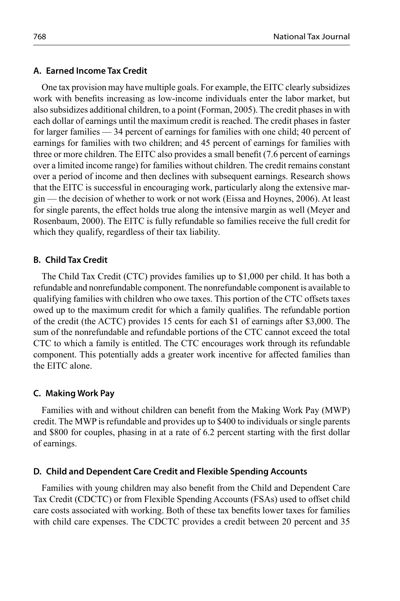#### **A. Earned Income Tax Credit**

One tax provision may have multiple goals. For example, the EITC clearly subsidizes work with benefits increasing as low-income individuals enter the labor market, but also subsidizes additional children, to a point (Forman, 2005). The credit phases in with each dollar of earnings until the maximum credit is reached. The credit phases in faster for larger families — 34 percent of earnings for families with one child; 40 percent of earnings for families with two children; and 45 percent of earnings for families with three or more children. The EITC also provides a small benefit (7.6 percent of earnings) over a limited income range) for families without children. The credit remains constant over a period of income and then declines with subsequent earnings. Research shows that the EITC is successful in encouraging work, particularly along the extensive margin — the decision of whether to work or not work (Eissa and Hoynes, 2006). At least for single parents, the effect holds true along the intensive margin as well (Meyer and Rosenbaum, 2000). The EITC is fully refundable so families receive the full credit for which they qualify, regardless of their tax liability.

#### **B. Child Tax Credit**

The Child Tax Credit (CTC) provides families up to \$1,000 per child. It has both a refundable and nonrefundable component. The nonrefundable component is available to qualifying families with children who owe taxes. This portion of the CTC offsets taxes owed up to the maximum credit for which a family qualifies. The refundable portion of the credit (the ACTC) provides 15 cents for each \$1 of earnings after \$3,000. The sum of the nonrefundable and refundable portions of the CTC cannot exceed the total CTC to which a family is entitled. The CTC encourages work through its refundable component. This potentially adds a greater work incentive for affected families than the EITC alone.

#### **C. Making Work Pay**

Families with and without children can benefit from the Making Work Pay (MWP) credit. The MWP is refundable and provides up to \$400 to individuals or single parents and \$800 for couples, phasing in at a rate of  $6.2$  percent starting with the first dollar of earnings.

#### **D. Child and Dependent Care Credit and Flexible Spending Accounts**

Families with young children may also benefit from the Child and Dependent Care Tax Credit (CDCTC) or from Flexible Spending Accounts (FSAs) used to offset child care costs associated with working. Both of these tax benefits lower taxes for families with child care expenses. The CDCTC provides a credit between 20 percent and 35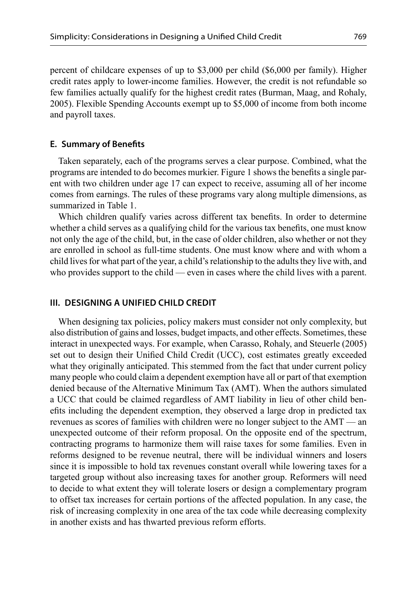percent of childcare expenses of up to \$3,000 per child (\$6,000 per family). Higher credit rates apply to lower-income families. However, the credit is not refundable so few families actually qualify for the highest credit rates (Burman, Maag, and Rohaly, 2005). Flexible Spending Accounts exempt up to \$5,000 of income from both income and payroll taxes.

#### **E. Summary of Benefits**

Taken separately, each of the programs serves a clear purpose. Combined, what the programs are intended to do becomes murkier. Figure 1 shows the benefits a single parent with two children under age 17 can expect to receive, assuming all of her income comes from earnings. The rules of these programs vary along multiple dimensions, as summarized in Table 1.

Which children qualify varies across different tax benefits. In order to determine whether a child serves as a qualifying child for the various tax benefits, one must know not only the age of the child, but, in the case of older children, also whether or not they are enrolled in school as full-time students. One must know where and with whom a child lives for what part of the year, a child's relationship to the adults they live with, and who provides support to the child — even in cases where the child lives with a parent.

#### **III. DESIGNING A UNIFIED CHILD CREDIT**

When designing tax policies, policy makers must consider not only complexity, but also distribution of gains and losses, budget impacts, and other effects. Sometimes, these interact in unexpected ways. For example, when Carasso, Rohaly, and Steuerle (2005) set out to design their Unified Child Credit (UCC), cost estimates greatly exceeded what they originally anticipated. This stemmed from the fact that under current policy many people who could claim a dependent exemption have all or part of that exemption denied because of the Alternative Minimum Tax (AMT). When the authors simulated a UCC that could be claimed regardless of AMT liability in lieu of other child benefits including the dependent exemption, they observed a large drop in predicted tax revenues as scores of families with children were no longer subject to the AMT — an unexpected outcome of their reform proposal. On the opposite end of the spectrum, contracting programs to harmonize them will raise taxes for some families. Even in reforms designed to be revenue neutral, there will be individual winners and losers since it is impossible to hold tax revenues constant overall while lowering taxes for a targeted group without also increasing taxes for another group. Reformers will need to decide to what extent they will tolerate losers or design a complementary program to offset tax increases for certain portions of the affected population. In any case, the risk of increasing complexity in one area of the tax code while decreasing complexity in another exists and has thwarted previous reform efforts.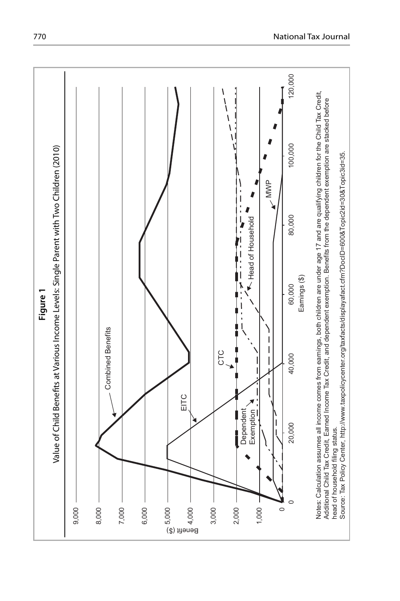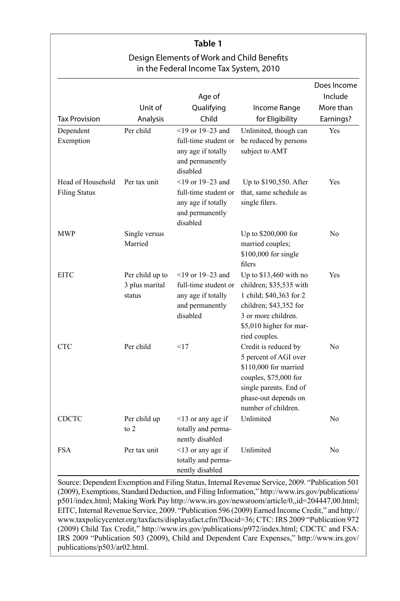| Table 1<br>Design Elements of Work and Child Benefits<br>in the Federal Income Tax System, 2010 |                                             |                                                                                                                                 |                                                                                                                                                                           |                |
|-------------------------------------------------------------------------------------------------|---------------------------------------------|---------------------------------------------------------------------------------------------------------------------------------|---------------------------------------------------------------------------------------------------------------------------------------------------------------------------|----------------|
|                                                                                                 |                                             |                                                                                                                                 |                                                                                                                                                                           |                |
| Head of Household<br><b>Filing Status</b>                                                       | Per tax unit                                | and permanently<br>disabled<br>$<$ 19 or 19–23 and<br>full-time student or<br>any age if totally<br>and permanently<br>disabled | Up to \$190,550. After<br>that, same schedule as<br>single filers.                                                                                                        | Yes            |
| <b>MWP</b>                                                                                      | Single versus<br>Married                    |                                                                                                                                 | Up to \$200,000 for<br>married couples;<br>\$100,000 for single<br>filers                                                                                                 | N <sub>0</sub> |
| <b>EITC</b>                                                                                     | Per child up to<br>3 plus marital<br>status | $<$ 19 or 19–23 and<br>full-time student or<br>any age if totally<br>and permanently<br>disabled                                | Up to \$13,460 with no<br>children; \$35,535 with<br>1 child; \$40,363 for 2<br>children; \$43,352 for<br>3 or more children.<br>\$5,010 higher for mar-<br>ried couples. | Yes            |
| <b>CTC</b>                                                                                      | Per child                                   | <17                                                                                                                             | Credit is reduced by<br>5 percent of AGI over<br>\$110,000 for married<br>couples, \$75,000 for<br>single parents. End of<br>phase-out depends on<br>number of children.  | No             |
| <b>CDCTC</b>                                                                                    | Per child up<br>to $2$                      | $<$ 13 or any age if<br>totally and perma-<br>nently disabled                                                                   | Unlimited                                                                                                                                                                 | No             |
| <b>FSA</b>                                                                                      | Per tax unit                                | $<$ 13 or any age if<br>totally and perma-<br>nently disabled                                                                   | Unlimited                                                                                                                                                                 | No             |

Source: Dependent Exemption and Filing Status, Internal Revenue Service, 2009. "Publication 501 (2009), Exemptions, Standard Deduction, and Filing Information," http://www.irs.gov/publications/ p501/index.html; Making Work Pay http://www.irs.gov/newsroom/article/0,,id=204447,00.html; EITC, Internal Revenue Service, 2009. "Publication 596 (2009) Earned Income Credit," and http:// www.taxpolicycenter.org/taxfacts/displayafact.cfm?Docid=36; CTC: IRS 2009 "Publication 972 (2009) Child Tax Credit," http://www.irs.gov/publications/p972/index.html; CDCTC and FSA: IRS 2009 "Publication 503 (2009), Child and Dependent Care Expenses," http://www.irs.gov/ publications/p503/ar02.html.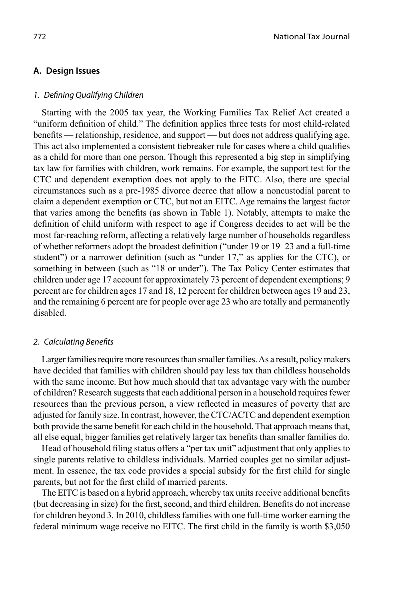#### **A. Design Issues**

#### 1. Defining Qualifying Children

Starting with the 2005 tax year, the Working Families Tax Relief Act created a "uniform definition of child." The definition applies three tests for most child-related benefits — relationship, residence, and support — but does not address qualifying age. This act also implemented a consistent tiebreaker rule for cases where a child qualifies as a child for more than one person. Though this represented a big step in simplifying tax law for families with children, work remains. For example, the support test for the CTC and dependent exemption does not apply to the EITC. Also, there are special circumstances such as a pre-1985 divorce decree that allow a noncustodial parent to claim a dependent exemption or CTC, but not an EITC. Age remains the largest factor that varies among the benefits (as shown in Table 1). Notably, attempts to make the definition of child uniform with respect to age if Congress decides to act will be the most far-reaching reform, affecting a relatively large number of households regardless of whether reformers adopt the broadest definition ("under 19 or 19–23 and a full-time student") or a narrower definition (such as "under  $17$ ," as applies for the CTC), or something in between (such as "18 or under"). The Tax Policy Center estimates that children under age 17 account for approximately 73 percent of dependent exemptions; 9 percent are for children ages 17 and 18, 12 percent for children between ages 19 and 23, and the remaining 6 percent are for people over age 23 who are totally and permanently disabled.

#### 2. Calculating Benefits

Larger families require more resources than smaller families. As a result, policy makers have decided that families with children should pay less tax than childless households with the same income. But how much should that tax advantage vary with the number of children? Research suggests that each additional person in a household requires fewer resources than the previous person, a view reflected in measures of poverty that are adjusted for family size. In contrast, however, the CTC/ACTC and dependent exemption both provide the same benefit for each child in the household. That approach means that, all else equal, bigger families get relatively larger tax benefits than smaller families do.

Head of household filing status offers a "per tax unit" adjustment that only applies to single parents relative to childless individuals. Married couples get no similar adjustment. In essence, the tax code provides a special subsidy for the first child for single parents, but not for the first child of married parents.

The EITC is based on a hybrid approach, whereby tax units receive additional benefits (but decreasing in size) for the first, second, and third children. Benefits do not increase for children beyond 3. In 2010, childless families with one full-time worker earning the federal minimum wage receive no EITC. The first child in the family is worth \$3,050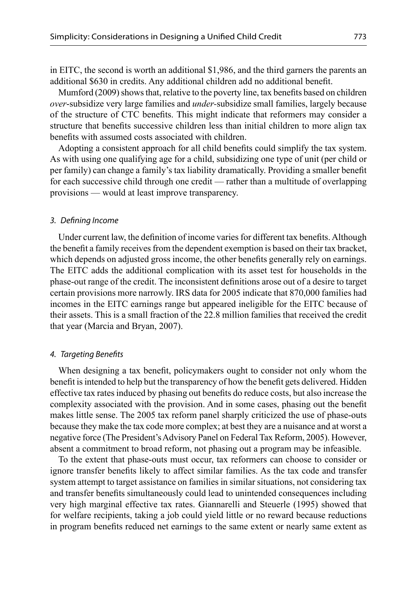in EITC, the second is worth an additional \$1,986, and the third garners the parents an additional \$630 in credits. Any additional children add no additional benefit.

Mumford (2009) shows that, relative to the poverty line, tax benefits based on children *over*-subsidize very large families and *under-*subsidize small families, largely because of the structure of CTC benefits. This might indicate that reformers may consider a structure that benefits successive children less than initial children to more align tax benefits with assumed costs associated with children.

Adopting a consistent approach for all child benefits could simplify the tax system. As with using one qualifying age for a child, subsidizing one type of unit (per child or per family) can change a family's tax liability dramatically. Providing a smaller benefit for each successive child through one credit — rather than a multitude of overlapping provisions — would at least improve transparency.

#### 3. Defining Income

Under current law, the definition of income varies for different tax benefits. Although the benefi t a family receives from the dependent exemption is based on their tax bracket, which depends on adjusted gross income, the other benefits generally rely on earnings. The EITC adds the additional complication with its asset test for households in the phase-out range of the credit. The inconsistent definitions arose out of a desire to target certain provisions more narrowly. IRS data for 2005 indicate that 870,000 families had incomes in the EITC earnings range but appeared ineligible for the EITC because of their assets. This is a small fraction of the 22.8 million families that received the credit that year (Marcia and Bryan, 2007).

#### 4. Targeting Benefits

When designing a tax benefit, policymakers ought to consider not only whom the benefit is intended to help but the transparency of how the benefit gets delivered. Hidden effective tax rates induced by phasing out benefits do reduce costs, but also increase the complexity associated with the provision. And in some cases, phasing out the benefit makes little sense. The 2005 tax reform panel sharply criticized the use of phase-outs because they make the tax code more complex; at best they are a nuisance and at worst a negative force (The President's Advisory Panel on Federal Tax Reform, 2005). However, absent a commitment to broad reform, not phasing out a program may be infeasible.

To the extent that phase-outs must occur, tax reformers can choose to consider or ignore transfer benefits likely to affect similar families. As the tax code and transfer system attempt to target assistance on families in similar situations, not considering tax and transfer benefits simultaneously could lead to unintended consequences including very high marginal effective tax rates. Giannarelli and Steuerle (1995) showed that for welfare recipients, taking a job could yield little or no reward because reductions in program benefits reduced net earnings to the same extent or nearly same extent as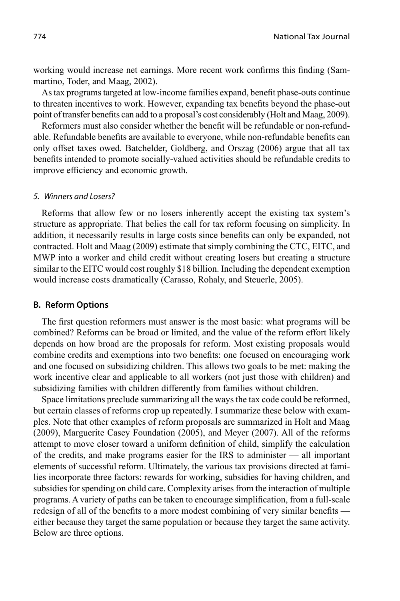working would increase net earnings. More recent work confirms this finding (Sammartino, Toder, and Maag, 2002).

As tax programs targeted at low-income families expand, benefi t phase-outs continue to threaten incentives to work. However, expanding tax benefits beyond the phase-out point of transfer benefits can add to a proposal's cost considerably (Holt and Maag, 2009).

Reformers must also consider whether the benefit will be refundable or non-refundable. Refundable benefits are available to everyone, while non-refundable benefits can only offset taxes owed. Batchelder, Goldberg, and Orszag (2006) argue that all tax benefits intended to promote socially-valued activities should be refundable credits to improve efficiency and economic growth.

#### 5. Winners and Losers?

Reforms that allow few or no losers inherently accept the existing tax system's structure as appropriate. That belies the call for tax reform focusing on simplicity. In addition, it necessarily results in large costs since benefits can only be expanded, not contracted. Holt and Maag (2009) estimate that simply combining the CTC, EITC, and MWP into a worker and child credit without creating losers but creating a structure similar to the EITC would cost roughly \$18 billion. Including the dependent exemption would increase costs dramatically (Carasso, Rohaly, and Steuerle, 2005).

#### **B. Reform Options**

The first question reformers must answer is the most basic: what programs will be combined? Reforms can be broad or limited, and the value of the reform effort likely depends on how broad are the proposals for reform. Most existing proposals would combine credits and exemptions into two benefits: one focused on encouraging work and one focused on subsidizing children. This allows two goals to be met: making the work incentive clear and applicable to all workers (not just those with children) and subsidizing families with children differently from families without children.

Space limitations preclude summarizing all the ways the tax code could be reformed, but certain classes of reforms crop up repeatedly. I summarize these below with examples. Note that other examples of reform proposals are summarized in Holt and Maag (2009), Marguerite Casey Foundation (2005), and Meyer (2007). All of the reforms attempt to move closer toward a uniform definition of child, simplify the calculation of the credits, and make programs easier for the IRS to administer — all important elements of successful reform. Ultimately, the various tax provisions directed at families incorporate three factors: rewards for working, subsidies for having children, and subsidies for spending on child care. Complexity arises from the interaction of multiple programs. A variety of paths can be taken to encourage simplification, from a full-scale redesign of all of the benefits to a more modest combining of very similar benefits either because they target the same population or because they target the same activity. Below are three options.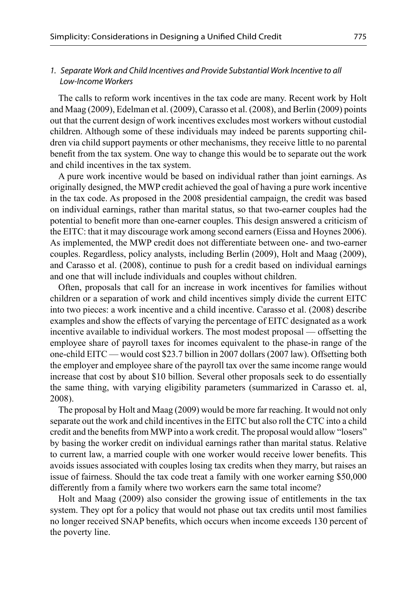## 1. Separate Work and Child Incentives and Provide Substantial Work Incentive to all Low-Income Workers

The calls to reform work incentives in the tax code are many. Recent work by Holt and Maag (2009), Edelman et al. (2009), Carasso et al. (2008), and Berlin (2009) points out that the current design of work incentives excludes most workers without custodial children. Although some of these individuals may indeed be parents supporting children via child support payments or other mechanisms, they receive little to no parental benefit from the tax system. One way to change this would be to separate out the work and child incentives in the tax system.

A pure work incentive would be based on individual rather than joint earnings. As originally designed, the MWP credit achieved the goal of having a pure work incentive in the tax code. As proposed in the 2008 presidential campaign, the credit was based on individual earnings, rather than marital status, so that two-earner couples had the potential to benefit more than one-earner couples. This design answered a criticism of the EITC: that it may discourage work among second earners (Eissa and Hoynes 2006). As implemented, the MWP credit does not differentiate between one- and two-earner couples. Regardless, policy analysts, including Berlin (2009), Holt and Maag (2009), and Carasso et al. (2008), continue to push for a credit based on individual earnings and one that will include individuals and couples without children.

Often, proposals that call for an increase in work incentives for families without children or a separation of work and child incentives simply divide the current EITC into two pieces: a work incentive and a child incentive. Carasso et al. (2008) describe examples and show the effects of varying the percentage of EITC designated as a work incentive available to individual workers. The most modest proposal — offsetting the employee share of payroll taxes for incomes equivalent to the phase-in range of the one-child EITC — would cost \$23.7 billion in 2007 dollars (2007 law). Offsetting both the employer and employee share of the payroll tax over the same income range would increase that cost by about \$10 billion. Several other proposals seek to do essentially the same thing, with varying eligibility parameters (summarized in Carasso et. al, 2008).

The proposal by Holt and Maag (2009) would be more far reaching. It would not only separate out the work and child incentives in the EITC but also roll the CTC into a child credit and the benefits from MWP into a work credit. The proposal would allow "losers" by basing the worker credit on individual earnings rather than marital status. Relative to current law, a married couple with one worker would receive lower benefits. This avoids issues associated with couples losing tax credits when they marry, but raises an issue of fairness. Should the tax code treat a family with one worker earning \$50,000 differently from a family where two workers earn the same total income?

Holt and Maag (2009) also consider the growing issue of entitlements in the tax system. They opt for a policy that would not phase out tax credits until most families no longer received SNAP benefits, which occurs when income exceeds 130 percent of the poverty line.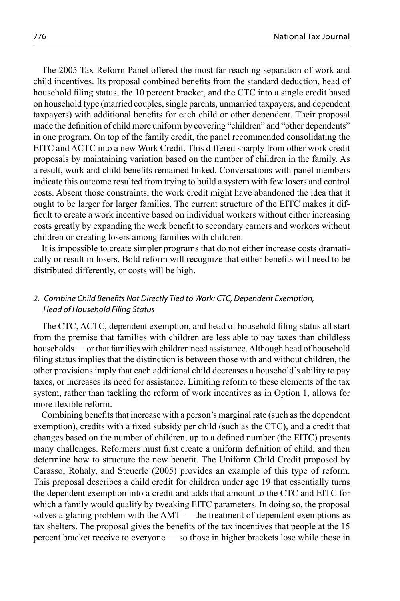The 2005 Tax Reform Panel offered the most far-reaching separation of work and child incentives. Its proposal combined benefits from the standard deduction, head of household filing status, the 10 percent bracket, and the CTC into a single credit based on household type (married couples, single parents, unmarried taxpayers, and dependent taxpayers) with additional benefits for each child or other dependent. Their proposal made the definition of child more uniform by covering "children" and "other dependents" in one program. On top of the family credit, the panel recommended consolidating the EITC and ACTC into a new Work Credit. This differed sharply from other work credit proposals by maintaining variation based on the number of children in the family. As a result, work and child benefits remained linked. Conversations with panel members indicate this outcome resulted from trying to build a system with few losers and control costs. Absent those constraints, the work credit might have abandoned the idea that it ought to be larger for larger families. The current structure of the EITC makes it difficult to create a work incentive based on individual workers without either increasing costs greatly by expanding the work benefit to secondary earners and workers without children or creating losers among families with children.

It is impossible to create simpler programs that do not either increase costs dramatically or result in losers. Bold reform will recognize that either benefits will need to be distributed differently, or costs will be high.

## 2. Combine Child Benefits Not Directly Tied to Work: CTC, Dependent Exemption, Head of Household Filing Status

The CTC, ACTC, dependent exemption, and head of household filing status all start from the premise that families with children are less able to pay taxes than childless households — or that families with children need assistance. Although head of household filing status implies that the distinction is between those with and without children, the other provisions imply that each additional child decreases a household's ability to pay taxes, or increases its need for assistance. Limiting reform to these elements of the tax system, rather than tackling the reform of work incentives as in Option 1, allows for more flexible reform.

Combining benefits that increase with a person's marginal rate (such as the dependent exemption), credits with a fixed subsidy per child (such as the CTC), and a credit that changes based on the number of children, up to a defined number (the EITC) presents many challenges. Reformers must first create a uniform definition of child, and then determine how to structure the new benefit. The Uniform Child Credit proposed by Carasso, Rohaly, and Steuerle (2005) provides an example of this type of reform. This proposal describes a child credit for children under age 19 that essentially turns the dependent exemption into a credit and adds that amount to the CTC and EITC for which a family would qualify by tweaking EITC parameters. In doing so, the proposal solves a glaring problem with the AMT — the treatment of dependent exemptions as tax shelters. The proposal gives the benefits of the tax incentives that people at the 15 percent bracket receive to everyone — so those in higher brackets lose while those in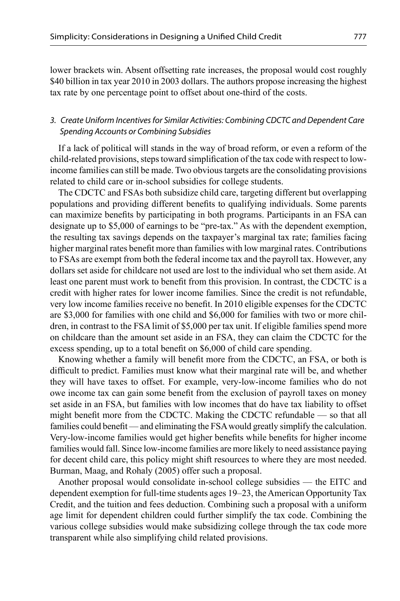lower brackets win. Absent offsetting rate increases, the proposal would cost roughly \$40 billion in tax year 2010 in 2003 dollars. The authors propose increasing the highest tax rate by one percentage point to offset about one-third of the costs.

## 3. Create Uniform Incentives for Similar Activities: Combining CDCTC and Dependent Care Spending Accounts or Combining Subsidies

If a lack of political will stands in the way of broad reform, or even a reform of the child-related provisions, steps toward simplification of the tax code with respect to lowincome families can still be made. Two obvious targets are the consolidating provisions related to child care or in-school subsidies for college students.

The CDCTC and FSAs both subsidize child care, targeting different but overlapping populations and providing different benefits to qualifying individuals. Some parents can maximize benefits by participating in both programs. Participants in an FSA can designate up to \$5,000 of earnings to be "pre-tax." As with the dependent exemption, the resulting tax savings depends on the taxpayer's marginal tax rate; families facing higher marginal rates benefit more than families with low marginal rates. Contributions to FSAs are exempt from both the federal income tax and the payroll tax. However, any dollars set aside for childcare not used are lost to the individual who set them aside. At least one parent must work to benefit from this provision. In contrast, the CDCTC is a credit with higher rates for lower income families. Since the credit is not refundable, very low income families receive no benefit. In 2010 eligible expenses for the CDCTC are \$3,000 for families with one child and \$6,000 for families with two or more children, in contrast to the FSA limit of \$5,000 per tax unit. If eligible families spend more on childcare than the amount set aside in an FSA, they can claim the CDCTC for the excess spending, up to a total benefit on \$6,000 of child care spending.

Knowing whether a family will benefit more from the CDCTC, an FSA, or both is difficult to predict. Families must know what their marginal rate will be, and whether they will have taxes to offset. For example, very-low-income families who do not owe income tax can gain some benefit from the exclusion of payroll taxes on money set aside in an FSA, but families with low incomes that do have tax liability to offset might benefit more from the CDCTC. Making the CDCTC refundable — so that all families could benefit — and eliminating the FSA would greatly simplify the calculation. Very-low-income families would get higher benefits while benefits for higher income families would fall. Since low-income families are more likely to need assistance paying for decent child care, this policy might shift resources to where they are most needed. Burman, Maag, and Rohaly (2005) offer such a proposal.

Another proposal would consolidate in-school college subsidies — the EITC and dependent exemption for full-time students ages 19–23, the American Opportunity Tax Credit, and the tuition and fees deduction. Combining such a proposal with a uniform age limit for dependent children could further simplify the tax code. Combining the various college subsidies would make subsidizing college through the tax code more transparent while also simplifying child related provisions.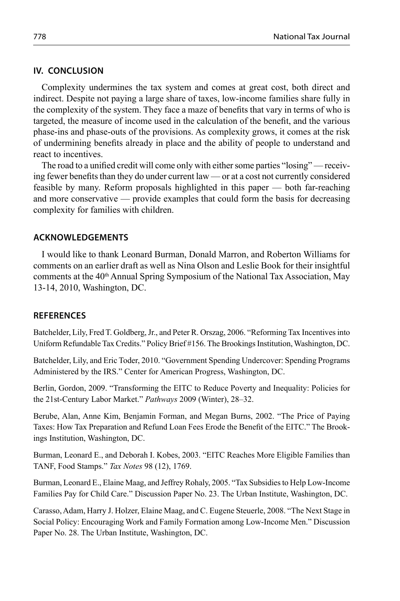## **IV. CONCLUSION**

Complexity undermines the tax system and comes at great cost, both direct and indirect. Despite not paying a large share of taxes, low-income families share fully in the complexity of the system. They face a maze of benefits that vary in terms of who is targeted, the measure of income used in the calculation of the benefit, and the various phase-ins and phase-outs of the provisions. As complexity grows, it comes at the risk of undermining benefits already in place and the ability of people to understand and react to incentives.

The road to a unified credit will come only with either some parties "losing" — receiving fewer benefits than they do under current law — or at a cost not currently considered feasible by many. Reform proposals highlighted in this paper — both far-reaching and more conservative — provide examples that could form the basis for decreasing complexity for families with children.

## **ACKNOWLEDGEMENTS**

I would like to thank Leonard Burman, Donald Marron, and Roberton Williams for comments on an earlier draft as well as Nina Olson and Leslie Book for their insightful comments at the  $40<sup>th</sup>$  Annual Spring Symposium of the National Tax Association, May 13-14, 2010, Washington, DC.

## **REFERENCES**

Batchelder, Lily, Fred T. Goldberg, Jr., and Peter R. Orszag, 2006. "Reforming Tax Incentives into Uniform Refundable Tax Credits." Policy Brief #156. The Brookings Institution, Washington, DC.

Batchelder, Lily, and Eric Toder, 2010. "Government Spending Undercover: Spending Programs Administered by the IRS." Center for American Progress, Washington, DC.

Berlin, Gordon, 2009. "Transforming the EITC to Reduce Poverty and Inequality: Policies for the 21st-Century Labor Market." *Pathways* 2009 (Winter), 28–32.

Berube, Alan, Anne Kim, Benjamin Forman, and Megan Burns, 2002. "The Price of Paying Taxes: How Tax Preparation and Refund Loan Fees Erode the Benefi t of the EITC." The Brookings Institution, Washington, DC.

Burman, Leonard E., and Deborah I. Kobes, 2003. "EITC Reaches More Eligible Families than TANF, Food Stamps." *Tax Notes* 98 (12), 1769.

Burman, Leonard E., Elaine Maag, and Jeffrey Rohaly, 2005. "Tax Subsidies to Help Low-Income Families Pay for Child Care." Discussion Paper No. 23. The Urban Institute, Washington, DC.

Carasso, Adam, Harry J. Holzer, Elaine Maag, and C. Eugene Steuerle, 2008. "The Next Stage in Social Policy: Encouraging Work and Family Formation among Low-Income Men." Discussion Paper No. 28. The Urban Institute, Washington, DC.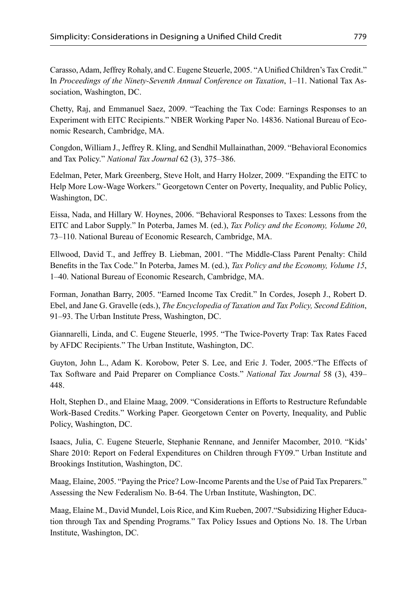Carasso, Adam, Jeffrey Rohaly, and C. Eugene Steuerle, 2005. "A Unified Children's Tax Credit." In *Proceedings of the Ninety-Seventh Annual Conference on Taxation*, 1–11. National Tax Association, Washington, DC.

Chetty, Raj, and Emmanuel Saez, 2009. "Teaching the Tax Code: Earnings Responses to an Experiment with EITC Recipients." NBER Working Paper No. 14836. National Bureau of Economic Research, Cambridge, MA.

Congdon, William J., Jeffrey R. Kling, and Sendhil Mullainathan, 2009. "Behavioral Economics and Tax Policy." *National Tax Journal* 62 (3), 375–386.

Edelman, Peter, Mark Greenberg, Steve Holt, and Harry Holzer, 2009. "Expanding the EITC to Help More Low-Wage Workers." Georgetown Center on Poverty, Inequality, and Public Policy, Washington, DC.

Eissa, Nada, and Hillary W. Hoynes, 2006. "Behavioral Responses to Taxes: Lessons from the EITC and Labor Supply." In Poterba, James M. (ed.), *Tax Policy and the Economy, Volume 20*, 73–110. National Bureau of Economic Research, Cambridge, MA.

Ellwood, David T., and Jeffrey B. Liebman, 2001. "The Middle-Class Parent Penalty: Child Benefits in the Tax Code." In Poterba, James M. (ed.), *Tax Policy and the Economy, Volume 15*, 1–40. National Bureau of Economic Research, Cambridge, MA.

Forman, Jonathan Barry, 2005. "Earned Income Tax Credit." In Cordes, Joseph J., Robert D. Ebel, and Jane G. Gravelle (eds.), *The Encyclopedia of Taxation and Tax Policy, Second Edition*, 91–93. The Urban Institute Press, Washington, DC.

Giannarelli, Linda, and C. Eugene Steuerle, 1995. "The Twice-Poverty Trap: Tax Rates Faced by AFDC Recipients." The Urban Institute, Washington, DC.

Guyton, John L., Adam K. Korobow, Peter S. Lee, and Eric J. Toder, 2005."The Effects of Tax Software and Paid Preparer on Compliance Costs." *National Tax Journal* 58 (3), 439– 448.

Holt, Stephen D., and Elaine Maag, 2009. "Considerations in Efforts to Restructure Refundable Work-Based Credits." Working Paper. Georgetown Center on Poverty, Inequality, and Public Policy, Washington, DC.

Isaacs, Julia, C. Eugene Steuerle, Stephanie Rennane, and Jennifer Macomber, 2010. "Kids' Share 2010: Report on Federal Expenditures on Children through FY09." Urban Institute and Brookings Institution, Washington, DC.

Maag, Elaine, 2005. "Paying the Price? Low-Income Parents and the Use of Paid Tax Preparers." Assessing the New Federalism No. B-64. The Urban Institute, Washington, DC.

Maag, Elaine M., David Mundel, Lois Rice, and Kim Rueben, 2007."Subsidizing Higher Education through Tax and Spending Programs*.*" Tax Policy Issues and Options No. 18. The Urban Institute, Washington, DC.